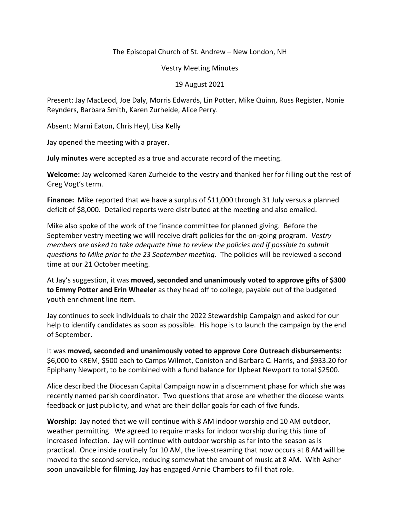## The Episcopal Church of St. Andrew – New London, NH

## Vestry Meeting Minutes

## 19 August 2021

Present: Jay MacLeod, Joe Daly, Morris Edwards, Lin Potter, Mike Quinn, Russ Register, Nonie Reynders, Barbara Smith, Karen Zurheide, Alice Perry.

Absent: Marni Eaton, Chris Heyl, Lisa Kelly

Jay opened the meeting with a prayer.

**July minutes** were accepted as a true and accurate record of the meeting.

**Welcome:** Jay welcomed Karen Zurheide to the vestry and thanked her for filling out the rest of Greg Vogt's term.

**Finance:** Mike reported that we have a surplus of \$11,000 through 31 July versus a planned deficit of \$8,000. Detailed reports were distributed at the meeting and also emailed.

Mike also spoke of the work of the finance committee for planned giving. Before the September vestry meeting we will receive draft policies for the on-going program. *Vestry members are asked to take adequate time to review the policies and if possible to submit questions to Mike prior to the 23 September meeting.* The policies will be reviewed a second time at our 21 October meeting.

At Jay's suggestion, it was **moved, seconded and unanimously voted to approve gifts of \$300 to Emmy Potter and Erin Wheeler** as they head off to college, payable out of the budgeted youth enrichment line item.

Jay continues to seek individuals to chair the 2022 Stewardship Campaign and asked for our help to identify candidates as soon as possible. His hope is to launch the campaign by the end of September.

It was **moved, seconded and unanimously voted to approve Core Outreach disbursements:**  \$6,000 to KREM, \$500 each to Camps Wilmot, Coniston and Barbara C. Harris, and \$933.20 for Epiphany Newport, to be combined with a fund balance for Upbeat Newport to total \$2500.

Alice described the Diocesan Capital Campaign now in a discernment phase for which she was recently named parish coordinator. Two questions that arose are whether the diocese wants feedback or just publicity, and what are their dollar goals for each of five funds.

**Worship:** Jay noted that we will continue with 8 AM indoor worship and 10 AM outdoor, weather permitting. We agreed to require masks for indoor worship during this time of increased infection. Jay will continue with outdoor worship as far into the season as is practical. Once inside routinely for 10 AM, the live-streaming that now occurs at 8 AM will be moved to the second service, reducing somewhat the amount of music at 8 AM. With Asher soon unavailable for filming, Jay has engaged Annie Chambers to fill that role.